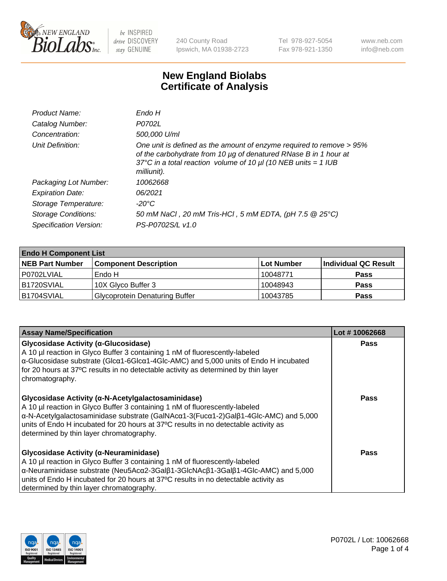

240 County Road Ipswich, MA 01938-2723 Tel 978-927-5054 Fax 978-921-1350 www.neb.com info@neb.com

## **New England Biolabs Certificate of Analysis**

| Endo H                                                                                                                                                                                                                         |
|--------------------------------------------------------------------------------------------------------------------------------------------------------------------------------------------------------------------------------|
| P0702L                                                                                                                                                                                                                         |
| 500,000 U/ml                                                                                                                                                                                                                   |
| One unit is defined as the amount of enzyme required to remove > 95%<br>of the carbohydrate from 10 µg of denatured RNase B in 1 hour at<br>37°C in a total reaction volume of 10 $\mu$ I (10 NEB units = 1 IUB<br>milliunit). |
| 10062668                                                                                                                                                                                                                       |
| 06/2021                                                                                                                                                                                                                        |
| -20°C                                                                                                                                                                                                                          |
| 50 mM NaCl, 20 mM Tris-HCl, 5 mM EDTA, (pH 7.5 @ 25°C)                                                                                                                                                                         |
| PS-P0702S/L v1.0                                                                                                                                                                                                               |
|                                                                                                                                                                                                                                |

| <b>Endo H Component List</b> |                                       |             |                      |  |  |
|------------------------------|---------------------------------------|-------------|----------------------|--|--|
| <b>NEB Part Number</b>       | <b>Component Description</b>          | ∣Lot Number | Individual QC Result |  |  |
| P0702LVIAL                   | Endo H                                | 10048771    | <b>Pass</b>          |  |  |
| B1720SVIAL                   | 10X Glyco Buffer 3                    | 10048943    | <b>Pass</b>          |  |  |
| B1704SVIAL                   | <b>Glycoprotein Denaturing Buffer</b> | 10043785    | <b>Pass</b>          |  |  |

| <b>Assay Name/Specification</b>                                                                                                                                                                                                                                                                                                                                                               | Lot #10062668 |
|-----------------------------------------------------------------------------------------------------------------------------------------------------------------------------------------------------------------------------------------------------------------------------------------------------------------------------------------------------------------------------------------------|---------------|
| <b>Glycosidase Activity (α-Glucosidase)</b><br>A 10 µl reaction in Glyco Buffer 3 containing 1 nM of fluorescently-labeled<br>$\alpha$ -Glucosidase substrate (Glc $\alpha$ 1-6Glc $\alpha$ 1-4Glc-AMC) and 5,000 units of Endo H incubated<br>for 20 hours at 37°C results in no detectable activity as determined by thin layer<br>chromatography.                                          | <b>Pass</b>   |
| Glycosidase Activity (α-N-Acetylgalactosaminidase)<br>A 10 µl reaction in Glyco Buffer 3 containing 1 nM of fluorescently-labeled<br>$\alpha$ -N-Acetylgalactosaminidase substrate (GalNAc $\alpha$ 1-3(Fuc $\alpha$ 1-2)Gal $\beta$ 1-4Glc-AMC) and 5,000<br>units of Endo H incubated for 20 hours at 37°C results in no detectable activity as<br>determined by thin layer chromatography. | Pass          |
| Glycosidase Activity (α-Neuraminidase)<br>A 10 µl reaction in Glyco Buffer 3 containing 1 nM of fluorescently-labeled<br>$\alpha$ -Neuraminidase substrate (Neu5Ac $\alpha$ 2-3Gal $\beta$ 1-3GlcNAc $\beta$ 1-3Gal $\beta$ 1-4Glc-AMC) and 5,000<br>units of Endo H incubated for 20 hours at 37°C results in no detectable activity as<br>determined by thin layer chromatography.          | Pass          |

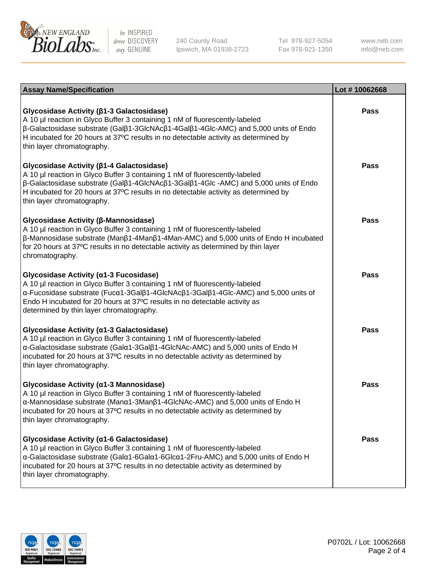

240 County Road Ipswich, MA 01938-2723 Tel 978-927-5054 Fax 978-921-1350

www.neb.com info@neb.com

| <b>Assay Name/Specification</b>                                                                                                                                                                                                                                                                                                                                      | Lot #10062668 |
|----------------------------------------------------------------------------------------------------------------------------------------------------------------------------------------------------------------------------------------------------------------------------------------------------------------------------------------------------------------------|---------------|
| Glycosidase Activity (β1-3 Galactosidase)<br>A 10 µl reaction in Glyco Buffer 3 containing 1 nM of fluorescently-labeled<br>$\beta$ -Galactosidase substrate (Gal $\beta$ 1-3GlcNAc $\beta$ 1-4Gal $\beta$ 1-4Glc-AMC) and 5,000 units of Endo<br>H incubated for 20 hours at 37°C results in no detectable activity as determined by<br>thin layer chromatography.  | <b>Pass</b>   |
| Glycosidase Activity (β1-4 Galactosidase)<br>A 10 µl reaction in Glyco Buffer 3 containing 1 nM of fluorescently-labeled<br>$\beta$ -Galactosidase substrate (Gal $\beta$ 1-4GlcNAc $\beta$ 1-3Gal $\beta$ 1-4Glc -AMC) and 5,000 units of Endo<br>H incubated for 20 hours at 37°C results in no detectable activity as determined by<br>thin layer chromatography. | Pass          |
| Glycosidase Activity (β-Mannosidase)<br>A 10 µl reaction in Glyco Buffer 3 containing 1 nM of fluorescently-labeled<br>$\beta$ -Mannosidase substrate (Man $\beta$ 1-4Man $\beta$ 1-4Man-AMC) and 5,000 units of Endo H incubated<br>for 20 hours at 37°C results in no detectable activity as determined by thin layer<br>chromatography.                           | <b>Pass</b>   |
| Glycosidase Activity (α1-3 Fucosidase)<br>A 10 µl reaction in Glyco Buffer 3 containing 1 nM of fluorescently-labeled<br>α-Fucosidase substrate (Fucα1-3Galβ1-4GlcNAcβ1-3Galβ1-4Glc-AMC) and 5,000 units of<br>Endo H incubated for 20 hours at 37°C results in no detectable activity as<br>determined by thin layer chromatography.                                | <b>Pass</b>   |
| Glycosidase Activity (α1-3 Galactosidase)<br>A 10 µl reaction in Glyco Buffer 3 containing 1 nM of fluorescently-labeled<br>α-Galactosidase substrate (Galα1-3Galβ1-4GlcNAc-AMC) and 5,000 units of Endo H<br>incubated for 20 hours at 37°C results in no detectable activity as determined by<br>thin layer chromatography.                                        | <b>Pass</b>   |
| Glycosidase Activity (α1-3 Mannosidase)<br>A 10 µl reaction in Glyco Buffer 3 containing 1 nM of fluorescently-labeled<br>α-Mannosidase substrate (Manα1-3Manβ1-4GlcNAc-AMC) and 5,000 units of Endo H<br>incubated for 20 hours at 37°C results in no detectable activity as determined by<br>thin layer chromatography.                                            | <b>Pass</b>   |
| Glycosidase Activity (α1-6 Galactosidase)<br>A 10 µl reaction in Glyco Buffer 3 containing 1 nM of fluorescently-labeled<br>α-Galactosidase substrate (Galα1-6Galα1-6Glcα1-2Fru-AMC) and 5,000 units of Endo H<br>incubated for 20 hours at 37°C results in no detectable activity as determined by<br>thin layer chromatography.                                    | Pass          |

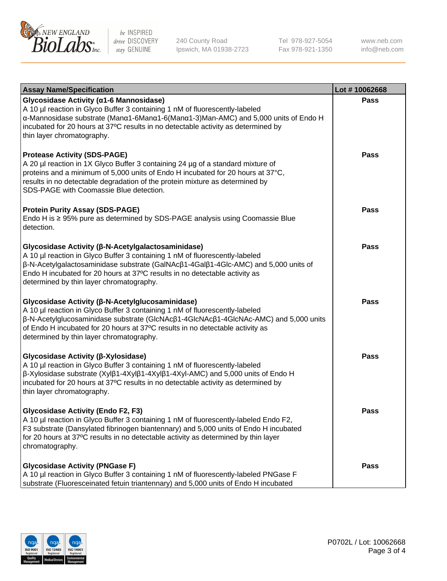

240 County Road Ipswich, MA 01938-2723 Tel 978-927-5054 Fax 978-921-1350

www.neb.com info@neb.com

| <b>Assay Name/Specification</b>                                                                                                                                                                                                                                                                                                                                           | Lot #10062668 |
|---------------------------------------------------------------------------------------------------------------------------------------------------------------------------------------------------------------------------------------------------------------------------------------------------------------------------------------------------------------------------|---------------|
| Glycosidase Activity (a1-6 Mannosidase)<br>A 10 µl reaction in Glyco Buffer 3 containing 1 nM of fluorescently-labeled<br>α-Mannosidase substrate (Μanα1-6Μanα1-6(Μanα1-3)Man-AMC) and 5,000 units of Endo H<br>incubated for 20 hours at 37°C results in no detectable activity as determined by<br>thin layer chromatography.                                           | <b>Pass</b>   |
| <b>Protease Activity (SDS-PAGE)</b><br>A 20 µl reaction in 1X Glyco Buffer 3 containing 24 µg of a standard mixture of<br>proteins and a minimum of 5,000 units of Endo H incubated for 20 hours at 37°C,<br>results in no detectable degradation of the protein mixture as determined by<br>SDS-PAGE with Coomassie Blue detection.                                      | Pass          |
| <b>Protein Purity Assay (SDS-PAGE)</b><br>Endo H is ≥ 95% pure as determined by SDS-PAGE analysis using Coomassie Blue<br>detection.                                                                                                                                                                                                                                      | Pass          |
| Glycosidase Activity (β-N-Acetylgalactosaminidase)<br>A 10 µl reaction in Glyco Buffer 3 containing 1 nM of fluorescently-labeled<br>$\beta$ -N-Acetylgalactosaminidase substrate (GalNAc $\beta$ 1-4Gal $\beta$ 1-4Glc-AMC) and 5,000 units of<br>Endo H incubated for 20 hours at 37°C results in no detectable activity as<br>determined by thin layer chromatography. | Pass          |
| Glycosidase Activity (β-N-Acetylglucosaminidase)<br>A 10 µl reaction in Glyco Buffer 3 containing 1 nM of fluorescently-labeled<br>β-N-Acetylglucosaminidase substrate (GlcNAcβ1-4GlcNAcβ1-4GlcNAc-AMC) and 5,000 units<br>of Endo H incubated for 20 hours at 37°C results in no detectable activity as<br>determined by thin layer chromatography.                      | Pass          |
| Glycosidase Activity (β-Xylosidase)<br>A 10 µl reaction in Glyco Buffer 3 containing 1 nM of fluorescently-labeled<br>$\beta$ -Xylosidase substrate (Xyl $\beta$ 1-4Xyl $\beta$ 1-4Xyl $\beta$ 1-4Xyl-AMC) and 5,000 units of Endo H<br>incubated for 20 hours at 37°C results in no detectable activity as determined by<br>thin layer chromatography.                   | Pass          |
| <b>Glycosidase Activity (Endo F2, F3)</b><br>A 10 µl reaction in Glyco Buffer 3 containing 1 nM of fluorescently-labeled Endo F2,<br>F3 substrate (Dansylated fibrinogen biantennary) and 5,000 units of Endo H incubated<br>for 20 hours at 37°C results in no detectable activity as determined by thin layer<br>chromatography.                                        | Pass          |
| <b>Glycosidase Activity (PNGase F)</b><br>A 10 µl reaction in Glyco Buffer 3 containing 1 nM of fluorescently-labeled PNGase F<br>substrate (Fluoresceinated fetuin triantennary) and 5,000 units of Endo H incubated                                                                                                                                                     | Pass          |